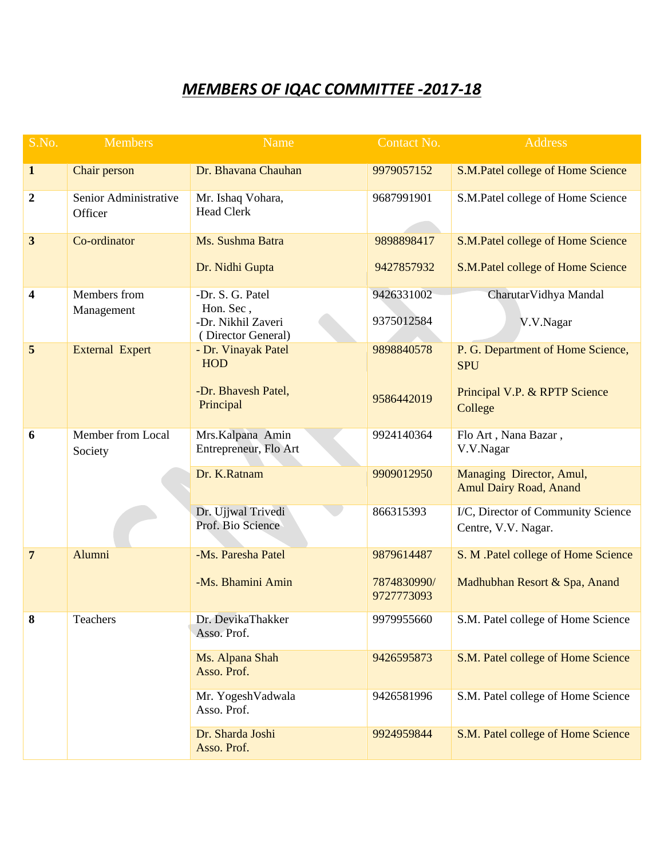## *MEMBERS OF IQAC COMMITTEE -2017-18*

| S.No.                   | <b>Members</b>                   | <b>Name</b>                                                               | Contact No.               | <b>Address</b>                                                                              |
|-------------------------|----------------------------------|---------------------------------------------------------------------------|---------------------------|---------------------------------------------------------------------------------------------|
| $\mathbf{1}$            | Chair person                     | Dr. Bhavana Chauhan                                                       | 9979057152                | S.M.Patel college of Home Science                                                           |
| $\boldsymbol{2}$        | Senior Administrative<br>Officer | Mr. Ishaq Vohara,<br><b>Head Clerk</b>                                    | 9687991901                | S.M.Patel college of Home Science                                                           |
| $\mathbf{3}$            | Co-ordinator                     | Ms. Sushma Batra<br>Dr. Nidhi Gupta                                       | 9898898417<br>9427857932  | S.M.Patel college of Home Science<br>S.M.Patel college of Home Science                      |
| $\overline{\mathbf{4}}$ | Members from<br>Management       | -Dr. S. G. Patel<br>Hon. Sec,<br>-Dr. Nikhil Zaveri<br>(Director General) | 9426331002<br>9375012584  | CharutarVidhya Mandal<br>V.V.Nagar                                                          |
| 5                       | <b>External Expert</b>           | - Dr. Vinayak Patel<br><b>HOD</b><br>-Dr. Bhavesh Patel,<br>Principal     | 9898840578<br>9586442019  | P. G. Department of Home Science,<br><b>SPU</b><br>Principal V.P. & RPTP Science<br>College |
| 6                       | Member from Local<br>Society     | Mrs.Kalpana Amin<br>Entrepreneur, Flo Art<br>Dr. K.Ratnam                 | 9924140364<br>9909012950  | Flo Art, Nana Bazar,<br>V.V.Nagar<br>Managing Director, Amul,                               |
|                         |                                  |                                                                           |                           | <b>Amul Dairy Road, Anand</b>                                                               |
|                         |                                  | Dr. Ujjwal Trivedi<br>Prof. Bio Science                                   | 866315393                 | I/C, Director of Community Science<br>Centre, V.V. Nagar.                                   |
| $7\overline{ }$         | Alumni                           | -Ms. Paresha Patel                                                        | 9879614487                | S. M .Patel college of Home Science                                                         |
|                         |                                  | -Ms. Bhamini Amin                                                         | 7874830990/<br>9727773093 | Madhubhan Resort & Spa, Anand                                                               |
| 8                       | Teachers                         | Dr. DevikaThakker<br>Asso. Prof.                                          | 9979955660                | S.M. Patel college of Home Science                                                          |
|                         |                                  | Ms. Alpana Shah<br>Asso. Prof.                                            | 9426595873                | S.M. Patel college of Home Science                                                          |
|                         |                                  | Mr. YogeshVadwala<br>Asso. Prof.                                          | 9426581996                | S.M. Patel college of Home Science                                                          |
|                         |                                  | Dr. Sharda Joshi<br>Asso. Prof.                                           | 9924959844                | S.M. Patel college of Home Science                                                          |